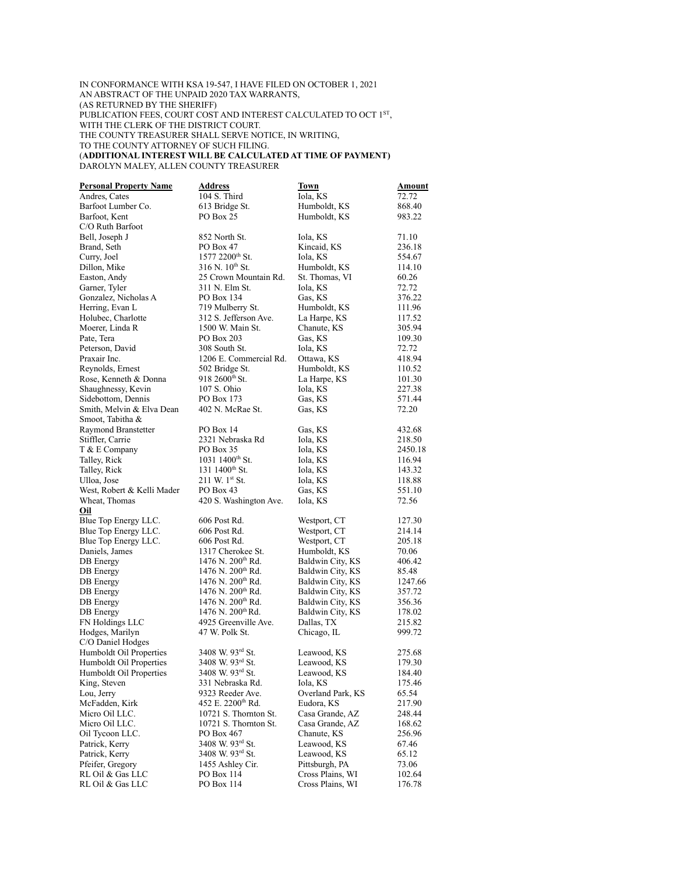## IN CONFORMANCE WITH KSA 19-547, I HAVE FILED ON OCTOBER 1, 2021 AN ABSTRACT OF THE UNPAID 2020 TAX WARRANTS, (AS RETURNED BY THE SHERIFF) PUBLICATION FEES, COURT COST AND INTEREST CALCULATED TO OCT 1<sup>st</sup>, WITH THE CLERK OF THE DISTRICT COURT. THE COUNTY TREASURER SHALL SERVE NOTICE, IN WRITING, TO THE COUNTY ATTORNEY OF SUCH FILING. (**ADDITIONAL INTEREST WILL BE CALCULATED AT TIME OF PAYMENT)** DAROLYN MALEY, ALLEN COUNTY TREASURER

| <b>Personal Property Name</b> | <b>Address</b>                | Town              | Amount  |
|-------------------------------|-------------------------------|-------------------|---------|
| Andres, Cates                 | 104 S. Third                  | Iola, KS          | 72.72   |
| Barfoot Lumber Co.            | 613 Bridge St.                | Humboldt, KS      | 868.40  |
| Barfoot, Kent                 | PO Box 25                     | Humboldt, KS      | 983.22  |
| C/O Ruth Barfoot              |                               |                   |         |
| Bell, Joseph J                | 852 North St.                 | Iola, KS          | 71.10   |
| Brand, Seth                   | PO Box 47                     | Kincaid, KS       | 236.18  |
| Curry, Joel                   | 1577 2200 <sup>th</sup> St.   | Iola, KS          | 554.67  |
|                               | 316 N. 10 <sup>th</sup> St.   |                   | 114.10  |
| Dillon, Mike                  |                               | Humboldt, KS      |         |
| Easton, Andy                  | 25 Crown Mountain Rd.         | St. Thomas, VI    | 60.26   |
| Garner, Tyler                 | 311 N. Elm St.                | Iola, KS          | 72.72   |
| Gonzalez, Nicholas A          | PO Box 134                    | Gas, KS           | 376.22  |
| Herring, Evan L               | 719 Mulberry St.              | Humboldt, KS      | 111.96  |
| Holubec, Charlotte            | 312 S. Jefferson Ave.         | La Harpe, KS      | 117.52  |
| Moerer, Linda R               | 1500 W. Main St.              | Chanute, KS       | 305.94  |
| Pate, Tera                    | PO Box 203                    | Gas, KS           | 109.30  |
| Peterson, David               | 308 South St.                 | Iola, KS          | 72.72   |
| Praxair Inc.                  | 1206 E. Commercial Rd.        | Ottawa, KS        | 418.94  |
| Reynolds, Ernest              | 502 Bridge St.                | Humboldt, KS      | 110.52  |
| Rose, Kenneth & Donna         | $918\,2600$ <sup>th</sup> St. | La Harpe, KS      | 101.30  |
| Shaughnessy, Kevin            | 107 S. Ohio                   | Iola, KS          | 227.38  |
| Sidebottom, Dennis            | PO Box 173                    | Gas, KS           | 571.44  |
| Smith, Melvin & Elva Dean     | 402 N. McRae St.              | Gas, KS           | 72.20   |
| Smoot, Tabitha &              |                               |                   |         |
|                               | PO Box 14                     | Gas, KS           | 432.68  |
| Raymond Branstetter           |                               |                   |         |
| Stiffler, Carrie              | 2321 Nebraska Rd              | Iola, KS          | 218.50  |
| T & E Company                 | PO Box 35                     | Iola, KS          | 2450.18 |
| Talley, Rick                  | $10311400^{\text{th}}$ St.    | Iola, KS          | 116.94  |
| Talley, Rick                  | 131 1400 <sup>th</sup> St.    | Iola, KS          | 143.32  |
| Ulloa, Jose                   | 211 W. 1st St.                | Iola, KS          | 118.88  |
| West, Robert & Kelli Mader    | PO Box 43                     | Gas, KS           | 551.10  |
| Wheat, Thomas                 | 420 S. Washington Ave.        | Iola, KS          | 72.56   |
| Oil                           |                               |                   |         |
| Blue Top Energy LLC.          | 606 Post Rd.                  | Westport, CT      | 127.30  |
| Blue Top Energy LLC.          | 606 Post Rd.                  | Westport, CT      | 214.14  |
| Blue Top Energy LLC.          | 606 Post Rd.                  | Westport, CT      | 205.18  |
| Daniels, James                | 1317 Cherokee St.             | Humboldt, KS      | 70.06   |
| DB Energy                     | 1476 N. 200 <sup>th</sup> Rd. | Baldwin City, KS  | 406.42  |
| DB Energy                     | 1476 N. 200 <sup>th</sup> Rd. | Baldwin City, KS  | 85.48   |
| DB Energy                     | 1476 N. 200 <sup>th</sup> Rd. | Baldwin City, KS  | 1247.66 |
| DB Energy                     | 1476 N. 200 <sup>th</sup> Rd. | Baldwin City, KS  | 357.72  |
| DB Energy                     | 1476 N. 200 <sup>th</sup> Rd. | Baldwin City, KS  | 356.36  |
| <b>DB</b> Energy              | 1476 N. 200 <sup>th</sup> Rd. | Baldwin City, KS  | 178.02  |
| FN Holdings LLC               | 4925 Greenville Ave.          | Dallas, TX        | 215.82  |
|                               |                               | Chicago, IL       |         |
| Hodges, Marilyn               | 47 W. Polk St.                |                   | 999.72  |
| C/O Daniel Hodges             |                               |                   |         |
| Humboldt Oil Properties       | 3408 W. 93 <sup>rd</sup> St.  | Leawood, KS       | 275.68  |
| Humboldt Oil Properties       | 3408 W. 93 <sup>rd</sup> St.  | Leawood, KS       | 179.30  |
| Humboldt Oil Properties       | 3408 W. 93rd St.              | Leawood, KS       | 184.40  |
| King, Steven                  | 331 Nebraska Rd.              | Iola, KS          | 175.46  |
| Lou, Jerry                    | 9323 Reeder Ave.              | Overland Park, KS | 65.54   |
| McFadden, Kirk                | 452 E. 2200 <sup>th</sup> Rd. | Eudora, KS        | 217.90  |
| Micro Oil LLC.                | 10721 S. Thornton St.         | Casa Grande, AZ   | 248.44  |
| Micro Oil LLC.                | 10721 S. Thornton St.         | Casa Grande, AZ   | 168.62  |
| Oil Tycoon LLC.               | PO Box 467                    | Chanute, KS       | 256.96  |
| Patrick, Kerry                | 3408 W. 93rd St.              | Leawood, KS       | 67.46   |
| Patrick, Kerry                | 3408 W. 93rd St.              | Leawood, KS       | 65.12   |
| Pfeifer, Gregory              | 1455 Ashley Cir.              | Pittsburgh, PA    | 73.06   |
| RL Oil & Gas LLC              | PO Box 114                    | Cross Plains, WI  | 102.64  |
|                               | PO Box 114                    | Cross Plains, WI  |         |
| RL Oil & Gas LLC              |                               |                   | 176.78  |